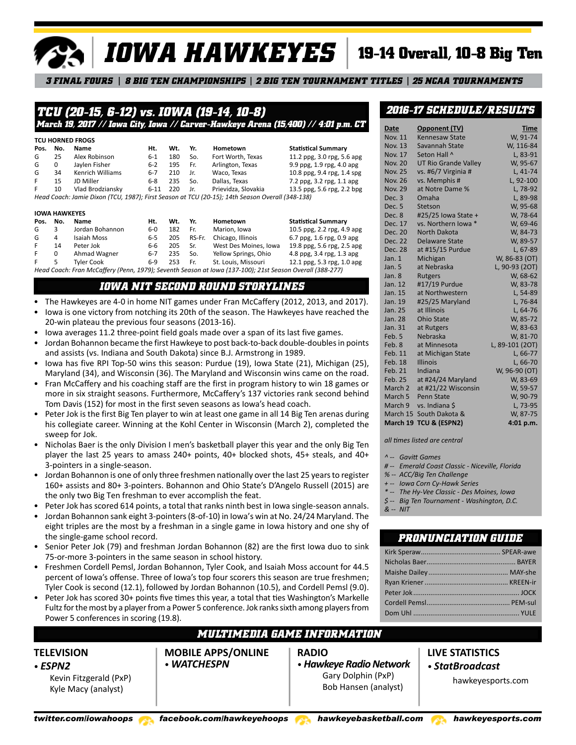# *IOWA HAWKEYES*

# **19-14 Overall, 10-8 Big Ten**

*3 FINAL FOURS 8 BIG TEN CHAMPIONSHIPS 2 BIG TEN TOURNAMENT TITLES 25 NCAA TOURNAMENTS*

# *TCU (20-15, 6-12) vs. IOWA (19-14, 10-8) March 19, 2017 // Iowa City, Iowa // Carver-Hawkeye Arena (15,400) // 4:01 p.m. CT*

| Pos. | No.      | Name             | Ht.     | Wt. | Yr. | Hometown            | <b>Statistical Summary</b> |
|------|----------|------------------|---------|-----|-----|---------------------|----------------------------|
| G    | 25       | Alex Robinson    | $6-1$   | 180 | So. | Fort Worth, Texas   | 11.2 ppg, 3.0 rpg, 5.6 apg |
| G    | $\Omega$ | Jaylen Fisher    | $6 - 2$ | 195 | Fr. | Arlington, Texas    | 9.9 ppg, 1.9 rpg, 4.0 apg  |
| G    | 34       | Kenrich Williams | $6-7$   | 210 | Jr. | Waco, Texas         | 10.8 ppg, 9.4 rpg, 1.4 spg |
| F.   | 15       | JD Miller        | $6-8$   | 235 | So. | Dallas, Texas       | 7.2 ppg, 3.2 rpg, 1.1 apg  |
| F.   | 10       | Vlad Brodziansky | 6-11    | 220 | Jr. | Prievidza, Slovakia | 13.5 ppg, 5.6 rpg, 2.2 bpg |

#### **IOWA HAWKEYES**

| Pos. | No.                                                                                                      | Name              | Ht. | Wt. | Yr.    | Hometown              | <b>Statistical Summary</b> |  |  |
|------|----------------------------------------------------------------------------------------------------------|-------------------|-----|-----|--------|-----------------------|----------------------------|--|--|
| G    |                                                                                                          | Jordan Bohannon   | 6-0 | 182 | Fr.    | Marion, Iowa          | 10.5 ppg, 2.2 rpg, 4.9 apg |  |  |
| G    | 4                                                                                                        | Isaiah Moss       | 6-5 | 205 | RS-Fr. | Chicago, Illinois     | 6.7 ppg, 1.6 rpg, 0.9 apg  |  |  |
| F.   | 14                                                                                                       | Peter Jok         | 6-6 | 205 | Sr.    | West Des Moines, Iowa | 19.8 ppg, 5.6 rpg, 2.5 apg |  |  |
| F.   |                                                                                                          | Ahmad Wagner      | 6-7 | 235 | So.    | Yellow Springs, Ohio  | 4.8 ppg, 3.4 rpg, 1.3 apg  |  |  |
| F.   | 5                                                                                                        | <b>Tyler Cook</b> | 6-9 | 253 | Fr.    | St. Louis, Missouri   | 12.1 ppg, 5.3 rpg, 1.0 apg |  |  |
|      | Head Coach: Fran McCaffery (Penn, 1979); Seventh Season at Iowa (137-100); 21st Season Overall (388-277) |                   |     |     |        |                       |                            |  |  |

# *IOWA NIT SECOND ROUND STORYLINES*

- The Hawkeyes are 4-0 in home NIT games under Fran McCaffery (2012, 2013, and 2017).
- Iowa is one victory from notching its 20th of the season. The Hawkeyes have reached the 20-win plateau the previous four seasons (2013-16).
- Iowa averages 11.2 three-point field goals made over a span of its last five games.
- Jordan Bohannon became the first Hawkeye to post back-to-back double-doubles in points and assists (vs. Indiana and South Dakota) since B.J. Armstrong in 1989.
- Iowa has five RPI Top-50 wins this season: Purdue (19), Iowa State (21), Michigan (25), Maryland (34), and Wisconsin (36). The Maryland and Wisconsin wins came on the road.
- Fran McCaffery and his coaching staff are the first in program history to win 18 games or more in six straight seasons. Furthermore, McCaffery's 137 victories rank second behind Tom Davis (152) for most in the first seven seasons as Iowa's head coach.
- Peter Jok is the first Big Ten player to win at least one game in all 14 Big Ten arenas during his collegiate career. Winning at the Kohl Center in Wisconsin (March 2), completed the sweep for Jok.
- Nicholas Baer is the only Division I men's basketball player this year and the only Big Ten player the last 25 years to amass 240+ points, 40+ blocked shots, 45+ steals, and 40+ 3-pointers in a single-season.
- Jordan Bohannon is one of only three freshmen nationally over the last 25 years to register 160+ assists and 80+ 3-pointers. Bohannon and Ohio State's D'Angelo Russell (2015) are the only two Big Ten freshman to ever accomplish the feat.
- Peter Jok has scored 614 points, a total that ranks ninth best in Iowa single-season annals.
- Jordan Bohannon sank eight 3-pointers (8-of-10) in Iowa's win at No. 24/24 Maryland. The eight triples are the most by a freshman in a single game in Iowa history and one shy of the single-game school record.
- Senior Peter Jok (79) and freshman Jordan Bohannon (82) are the first Iowa duo to sink 75-or-more 3-pointers in the same season in school history.
- Freshmen Cordell Pemsl, Jordan Bohannon, Tyler Cook, and Isaiah Moss account for 44.5 percent of Iowa's offense. Three of Iowa's top four scorers this season are true freshmen; Tyler Cook is second (12.1), followed by Jordan Bohannon (10.5), and Cordell Pemsl (9.0).
- Peter Jok has scored 30+ points five times this year, a total that ties Washington's Markelle Fultz for the most by a player from a Power 5 conference. Jok ranks sixth among players from Power 5 conferences in scoring (19.8).

# *MULTIMEDIA GAME INFORMATION*

**MOBILE APPS/ONLINE** • *WATCHESPN*

**RADIO** • *Hawkeye Radio Network*

Gary Dolphin (PxP) Bob Hansen (analyst)

# *2016-17 SCHEDULE/RESULTS*

| Date               | Opponent (TV)               | <b>Time</b>     |
|--------------------|-----------------------------|-----------------|
| <b>Nov. 11</b>     | <b>Kennesaw State</b>       | W, 91-74        |
| <b>Nov. 13</b>     | Savannah State              | W, 116-84       |
| <b>Nov. 17</b>     | Seton Hall ^                | L, 83-91        |
| <b>Nov. 20</b>     | <b>UT Rio Grande Valley</b> | W, 95-67        |
| <b>Nov. 25</b>     | vs. #6/7 Virginia #         | L, 41-74        |
| <b>Nov. 26</b>     | vs. Memphis #               | L, 92-100       |
| <b>Nov. 29</b>     | at Notre Dame %             | L, 78-92        |
| Dec. <sub>3</sub>  | Omaha                       | L, 89-98        |
| Dec. 5             | Stetson                     | W, 95-68        |
| Dec. 8             | #25/25 Iowa State +         | W, 78-64        |
| Dec. 17            | vs. Northern lowa *         | W, 69-46        |
| Dec. 20            | <b>North Dakota</b>         | W. 84-73        |
| Dec. 22            | <b>Delaware State</b>       | W, 89-57        |
| Dec. 28            | at #15/15 Purdue            | L, 67-89        |
| Jan. 1             | Michigan                    | W, 86-83 (OT)   |
| Jan. 5             | at Nebraska                 | L, 90-93 (2OT)  |
| Jan. 8             | <b>Rutgers</b>              | W, 68-62        |
| Jan. 12            | #17/19 Purdue               | W, 83-78        |
| Jan. 15            | at Northwestern             | L, 54-89        |
| Jan. 19            | #25/25 Maryland             | L, 76-84        |
| Jan. 25            | at Illinois                 | L, 64-76        |
| Jan. 28            | <b>Ohio State</b>           | W, 85-72        |
| Jan. 31            | at Rutgers                  | W, 83-63        |
| Feb. 5             | Nebraska                    | W, 81-70        |
| Feb. 8             | at Minnesota                | L, 89-101 (20T) |
| Feb. 11            | at Michigan State           | L, 66-77        |
| Feb. 18            | <b>Illinois</b>             | L, 66-70        |
| Feb. 21            | Indiana                     | W, 96-90 (OT)   |
| Feb. 25            | at #24/24 Maryland          | W, 83-69        |
| March <sub>2</sub> | at #21/22 Wisconsin         | W, 59-57        |
| March 5            | <b>Penn State</b>           | W, 90-79        |
| March 9            | vs. Indiana \$              | L, 73-95        |
| March 15           | South Dakota &              | W, 87-75        |
|                    | March 19 TCU & (ESPN2)      | 4:01 p.m.       |

*all times listed are central*

- *^ -- Gavitt Games*
- *# -- Emerald Coast Classic Niceville, Florida*
- *% -- ACC/Big Ten Challenge*
- *+ -- Iowa Corn Cy-Hawk Series*
- *\* -- The Hy-Vee Classic Des Moines, Iowa*
- *\$ -- Big Ten Tournament Washington, D.C.*
- *& -- NIT*

# *PRONUNCIATION GUIDE*

**LIVE STATISTICS** • *StatBroadcast*

Kevin Fitzgerald (PxP) Kyle Macy (analyst)

**TELEVISION** • *ESPN2*

*twitter.com/iowahoops facebook.com/hawkeyehoops hawkeyebasketball.com hawkeyesports.com*

hawkeyesports.com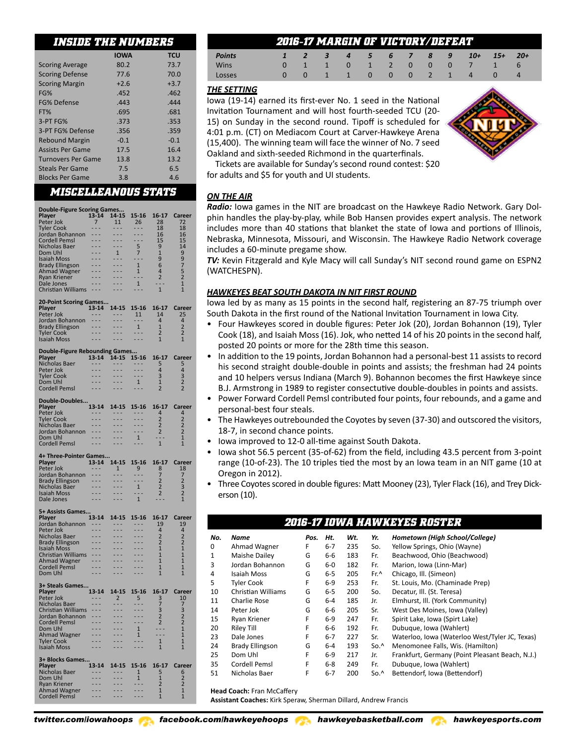# *INSIDE THE NUMBERS*

|                           | <b>IOWA</b> | <b>TCU</b> |
|---------------------------|-------------|------------|
| <b>Scoring Average</b>    | 80.2        | 73.7       |
| <b>Scoring Defense</b>    | 77.6        | 70.0       |
| <b>Scoring Margin</b>     | $+2.6$      | $+3.7$     |
| FG%                       | .452        | .462       |
| FG% Defense               | .443        | .444       |
| FT%                       | .695        | .681       |
| 3-PT FG%                  | .373        | .353       |
| 3-PT FG% Defense          | .356        | .359       |
| <b>Rebound Margin</b>     | $-0.1$      | $-0.1$     |
| <b>Assists Per Game</b>   | 17.5        | 16.4       |
| <b>Turnovers Per Game</b> | 13.8        | 13.2       |
| <b>Steals Per Game</b>    | 7.5         | 6.5        |
| <b>Blocks Per Game</b>    | 3.8         | 4.6        |

# *MISCELLEANOUS STATS*

| <b>Double-Figure Scoring Games</b>        |                                 |                                     |                               |                                |                                            |
|-------------------------------------------|---------------------------------|-------------------------------------|-------------------------------|--------------------------------|--------------------------------------------|
| Player                                    | 13-14                           | 14-15                               | 15-16                         | 16-17                          | Career                                     |
| Peter Jok                                 | $\overline{7}$                  | 11                                  | 26                            | 28                             | 72                                         |
| <b>Tyler Cook</b>                         | - - -                           | ---                                 | - - -                         | 18                             | 18                                         |
| Jordan Bohannon                           | $- - -$                         | ---                                 | $-$                           | 16                             | 16                                         |
| Cordell Pemsl                             | $ -$                            | $- - -$                             | ---                           | 15 <sup>2</sup>                | 15                                         |
| Nicholas Baer<br>Dom Uhl                  | .<br>$- - -$                    | $- - -$<br>$\overline{1}$           | 5                             | 9<br>$\mathbf{1}$              | 14<br>9                                    |
| <b>Isaiah Moss</b>                        |                                 | $- - -$                             | 7<br>.                        | 9                              | 9                                          |
| <b>Brady Ellingson</b>                    |                                 | $- - -$                             | $\overline{1}$                | 6                              | 7                                          |
| <b>Ahmad Wagner</b>                       | .                               | $- - -$                             | $\mathbf{1}$                  | $\overline{4}$                 | 5                                          |
| Ryan Kriener                              |                                 |                                     | .                             | $\overline{2}$                 | $\overline{2}$                             |
| Dale Jones                                | $- - -$<br>- - -                | $- - -$<br>$ -$                     | $\mathbf{1}$                  | Щ.                             | $\overline{1}$<br>$\overline{1}$           |
| <b>Christian Williams</b>                 |                                 |                                     |                               | $\mathbf{1}$                   |                                            |
| 20-Point Scoring Games                    |                                 |                                     |                               |                                |                                            |
| Plaver                                    |                                 | 13-14 14-15                         | $15 - 16$                     | 16-17                          | Career                                     |
| Peter Jok                                 | $\sim$ $ \sim$                  | $\sim$ $ \sim$                      | 11                            | 14                             | 25                                         |
| Jordan Bohannon<br><b>Brady Ellingson</b> | ---<br>$\overline{1}$           | .                                   | - - -<br>1                    | $\overline{4}$<br>$\mathbf{1}$ | 4<br>$\overline{2}$                        |
| <b>Tyler Cook</b>                         | $\overline{a}$                  |                                     | $- - -$                       | 2                              | $\overline{2}$                             |
| <b>Isaiah Moss</b>                        | - - -                           |                                     |                               | $\mathbf{1}$                   | $\mathbf{1}$                               |
|                                           |                                 |                                     |                               |                                |                                            |
| Double-Figure Rebounding Games            |                                 |                                     |                               |                                |                                            |
| <b>Player</b><br>Nicholas Baer            | $ -$                            | 13-14 14-15<br>$\sim$ $\sim$ $\sim$ | 15-16<br>$\sim$ $\sim$ $\sim$ | 16-17<br>5                     | Career<br>5                                |
| Peter Jok                                 | $- - -$                         | $\sim$ $\sim$ $\sim$                | $- - -$                       | 4                              | 4                                          |
| <b>Tyler Cook</b>                         | $\sim$                          | $\sim$ $\sim$ $\sim$                | $- - -$                       | 3                              |                                            |
| Dom Uhl                                   | $\overline{a}$                  | $- - -$                             | 1                             | $\mathbf 1$                    | $\begin{array}{c} 3 \\ 2 \\ 2 \end{array}$ |
| Cordell Pemsl                             | $- - -$                         | $- - -$                             | ---                           | $\overline{2}$                 |                                            |
| Double-Doubles                            |                                 |                                     |                               |                                |                                            |
| Player                                    | 13-14                           | 14-15                               | 15-16                         | $16-17$                        | Career                                     |
| Peter Jok                                 | $- - -$                         | $\sim$ $ \sim$                      | $- - -$                       | 4                              | 4                                          |
| <b>Tyler Cook</b>                         | $- - -$                         | $- - -$                             | $- - -$                       | $\overline{2}$                 | $\overline{2}$                             |
| Nicholas Baer                             | - - -                           |                                     |                               | $\overline{2}$                 | $\overline{2}$                             |
| Jordan Bohannon<br>Dom Uhl                | $- - -$                         | $- - -$                             | $\mathbf{1}$                  | 2<br>$\sim$ $\sim$             | 2<br>$\mathbf{1}$                          |
| <b>Cordell Pemsl</b>                      | $- - -$                         | .                                   |                               | $\mathbf{1}$                   | $\mathbf{1}$                               |
|                                           |                                 |                                     |                               |                                |                                            |
| 4+ Three-Pointer Games                    |                                 |                                     |                               |                                |                                            |
|                                           |                                 |                                     |                               |                                |                                            |
| Player                                    | $13 - 14$                       | 14-15                               | 15-16                         | 16-17                          | Career                                     |
| Peter Jok                                 | $\sim$ $ \sim$                  | $\mathbf{1}$                        | $9^{-}$                       | 8                              | 18                                         |
| Jordan Bohannon                           | $-$<br>$\overline{\phantom{a}}$ | .<br>.                              | .<br>.                        | 7<br>$\overline{2}$            | 7<br>$\overline{2}$                        |
| <b>Brady Ellingson</b><br>Nicholas Baer   | $- - -$                         | $ -$                                | $\mathbf{1}$                  | $\overline{2}$                 | 3                                          |
| Isaiah Moss                               |                                 |                                     |                               | $\overline{2}$                 | $\overline{2}$                             |
| <b>Dale Jones</b>                         |                                 |                                     | $\overline{1}$                |                                | $\mathbf{1}$                               |
| 5+ Assists Games                          |                                 |                                     |                               |                                |                                            |
| Player                                    | $13 - 14$                       | 14-15                               | 15-16                         | 16-17                          | Career                                     |
| Jordan Bohannon                           | $\sim$ $\sim$ $\sim$            | $\sim$ $\sim$ $\sim$                | $\sim$ $ \sim$                | 19                             | 19                                         |
| Peter Jok                                 |                                 |                                     |                               | $\overline{4}$                 | 4                                          |
| Nicholas Baer                             |                                 |                                     |                               | 2                              | 2                                          |
| Brady Ellingson<br><b>Isaiah Moss</b>     | - - -                           | ---<br>.                            |                               | $\overline{2}$<br>$\mathbf{1}$ | $\overline{2}$<br>$\mathbf{1}$             |
| Christian Williams                        | $\overline{\phantom{a}}$        | .                                   | .                             | $\mathbf{1}$                   | 1                                          |
| Ahmad Wagner                              | $ -$                            |                                     |                               | $\mathbf{1}$                   | 1                                          |
| Cordell Pemsl                             |                                 |                                     |                               | $\mathbf{1}$                   | 1                                          |
| Dom Uhl                                   | .                               | ---                                 |                               | $\mathbf{1}$                   | 1                                          |
| 3+ Steals Games                           |                                 |                                     |                               |                                |                                            |
| Player                                    | $13 - 14$                       | 14-15                               | $15 - 16$                     | $16 - 17$                      | Career                                     |
| Peter Jok                                 | ---                             | $\overline{2}$                      | 5                             |                                | 10                                         |
| Nicholas Baer                             | $- - -$<br>$- - -$              | $- - -$<br>$- - -$                  | $- - -$<br>$- - -$            | $\frac{3}{7}$                  | 7                                          |
| Christian Williams<br>Jordan Bohannon     | $\overline{\phantom{a}}$        | .                                   | .                             | $\frac{3}{2}$                  | $\frac{3}{2}$                              |
| <b>Cordell Pemsl</b>                      | .                               | $\overline{\phantom{a}}$            | .                             | $\overline{2}$                 | $\overline{2}$                             |
| Dom Uhl                                   |                                 |                                     | 1                             | - -                            | 1                                          |
| <b>Ahmad Wagner</b>                       |                                 | ×,                                  | $\mathbf{1}$<br>$\sim$ $\sim$ | $\sim$ $\sim$                  | 1                                          |
| Tyler Cook<br><b>Isaiah Moss</b>          |                                 |                                     | .                             | 1<br>$\mathbf{1}$              | $\overline{1}$<br>$\mathbf{1}$             |
|                                           |                                 |                                     |                               |                                |                                            |
| 3+ Blocks Games                           |                                 |                                     |                               |                                |                                            |
| Player                                    | 13-14                           | 14-15                               | 15-16                         | 16-17                          | <b>Career</b>                              |
| Nicholas Baer<br>Dom Uhl                  | - - -<br>- - -                  | - - -<br>- -                        | $\mathbf{1}$<br>$\mathbf{1}$  | 5<br>$\mathbf{1}$              | 6<br>$\overline{2}$                        |
| <b>Ryan Kriener</b>                       | .                               | ш.                                  | - - -                         | $\overline{2}$                 | $\overline{2}$                             |
| Ahmad Wagner<br>Cordell Pemsl             | $\sim$ $\sim$                   | $\sim$ $\sim$<br>- - -              | - - -<br>- - -                | $\overline{1}$<br>1            | $\overline{1}$<br>1                        |

# *2016-17 MARGIN OF VICTORY/DEFEAT*

| <b>Points</b> |          | $\sqrt{3}$    | $\overline{4}$ | 5 6 7 8 9 |  |  | $10+$                 | $15+$ | $20+$ |
|---------------|----------|---------------|----------------|-----------|--|--|-----------------------|-------|-------|
| Wins          |          |               |                |           |  |  | 0 1 1 0 1 2 0 0 0 7 1 |       | $-6$  |
| Losses        | $\Omega$ | 1 1 0 0 0 2 1 |                |           |  |  | $\overline{4}$        |       | 4     |
|               |          |               |                |           |  |  |                       |       |       |

# *THE SETTING*

Iowa (19-14) earned its first-ever No. 1 seed in the National Invitation Tournament and will host fourth-seeded TCU (20- 15) on Sunday in the second round. Tipoff is scheduled for 4:01 p.m. (CT) on Mediacom Court at Carver-Hawkeye Arena (15,400). The winning team will face the winner of No. 7 seed Oakland and sixth-seeded Richmond in the quarterfinals.



Tickets are available for Sunday's second round contest: \$20 for adults and \$5 for youth and UI students.

# *ON THE AIR*

*Radio:* Iowa games in the NIT are broadcast on the Hawkeye Radio Network. Gary Dolphin handles the play-by-play, while Bob Hansen provides expert analysis. The network includes more than 40 stations that blanket the state of Iowa and portions of Illinois, Nebraska, Minnesota, Missouri, and Wisconsin. The Hawkeye Radio Network coverage includes a 60-minute pregame show.

*TV:* Kevin Fitzgerald and Kyle Macy will call Sunday's NIT second round game on ESPN2 (WATCHESPN).

# *HAWKEYES BEAT SOUTH DAKOTA IN NIT FIRST ROUND*

Iowa led by as many as 15 points in the second half, registering an 87-75 triumph over South Dakota in the first round of the National Invitation Tournament in Iowa City.

- Four Hawkeyes scored in double figures: Peter Jok (20), Jordan Bohannon (19), Tyler Cook (18), and Isaiah Moss (16). Jok, who netted 14 of his 20 points in the second half, posted 20 points or more for the 28th time this season.
- In addition to the 19 points, Jordan Bohannon had a personal-best 11 assists to record his second straight double-double in points and assists; the freshman had 24 points and 10 helpers versus Indiana (March 9). Bohannon becomes the first Hawkeye since B.J. Armstrong in 1989 to register consectutive double-doubles in points and assists.
- Power Forward Cordell Pemsl contributed four points, four rebounds, and a game and personal-best four steals.
- The Hawkeyes outrebounded the Coyotes by seven (37-30) and outscored the visitors, 18-7, in second chance points.
- Iowa improved to 12-0 all-time against South Dakota.
- Iowa shot 56.5 percent (35-of-62) from the field, including 43.5 percent from 3-point range (10-of-23). The 10 triples tied the most by an Iowa team in an NIT game (10 at Oregon in 2012).
- Three Coyotes scored in double figures: Matt Mooney (23), Tyler Flack (16), and Trey Dickerson (10).

*2016-17 IOWA HAWKEYES ROSTER*

|     |                           |      |         |     |               | ZUIO-I/ IUVVA AAVVAEI EJ RUJI ER                |
|-----|---------------------------|------|---------|-----|---------------|-------------------------------------------------|
| No. | Name                      | Pos. | Ht.     | Wt. | Yr.           | Hometown (High School/College)                  |
| 0   | Ahmad Wagner              | F    | $6 - 7$ | 235 | So.           | Yellow Springs, Ohio (Wayne)                    |
| 1   | Maishe Dailey             | G    | 6-6     | 183 | Fr.           | Beachwood, Ohio (Beachwood)                     |
| 3   | Jordan Bohannon           | G    | 6-0     | 182 | Fr.           | Marion, Iowa (Linn-Mar)                         |
| 4   | Isaiah Moss               | G    | $6 - 5$ | 205 | $Fr^{\wedge}$ | Chicago, Ill. (Simeon)                          |
| 5   | <b>Tyler Cook</b>         | F    | $6-9$   | 253 | Fr.           | St. Louis, Mo. (Chaminade Prep)                 |
| 10  | <b>Christian Williams</b> | G    | $6-5$   | 200 | So.           | Decatur, Ill. (St. Teresa)                      |
| 11  | Charlie Rose              | G    | $6 - 4$ | 185 | Jr.           | Elmhurst, Ill. (York Community)                 |
| 14  | Peter Jok                 | G    | 6-6     | 205 | Sr.           | West Des Moines, Iowa (Valley)                  |
| 15  | Ryan Kriener              | F    | 6-9     | 247 | Fr.           | Spirit Lake, Iowa (Spirt Lake)                  |
| 20  | <b>Riley Till</b>         | F    | 6-6     | 192 | Fr.           | Dubuque, Iowa (Wahlert)                         |
| 23  | Dale Jones                | F    | $6 - 7$ | 227 | Sr.           | Waterloo, Iowa (Waterloo West/Tyler JC, Texas)  |
| 24  | <b>Brady Ellingson</b>    | G    | $6 - 4$ | 193 | So.           | Menomonee Falls, Wis. (Hamilton)                |
| 25  | Dom Uhl                   | F    | $6-9$   | 217 | Jr.           | Frankfurt, Germany (Point Pleasant Beach, N.J.) |
| 35  | Cordell Pemsl             | F    | $6 - 8$ | 249 | Fr.           | Dubuque, Iowa (Wahlert)                         |
| 51  | Nicholas Baer             | F    | $6 - 7$ | 200 | So.^          | Bettendorf, Iowa (Bettendorf)                   |
|     |                           |      |         |     |               |                                                 |

**Head Coach:** Fran McCaffery

**Assistant Coaches:** Kirk Speraw, Sherman Dillard, Andrew Francis

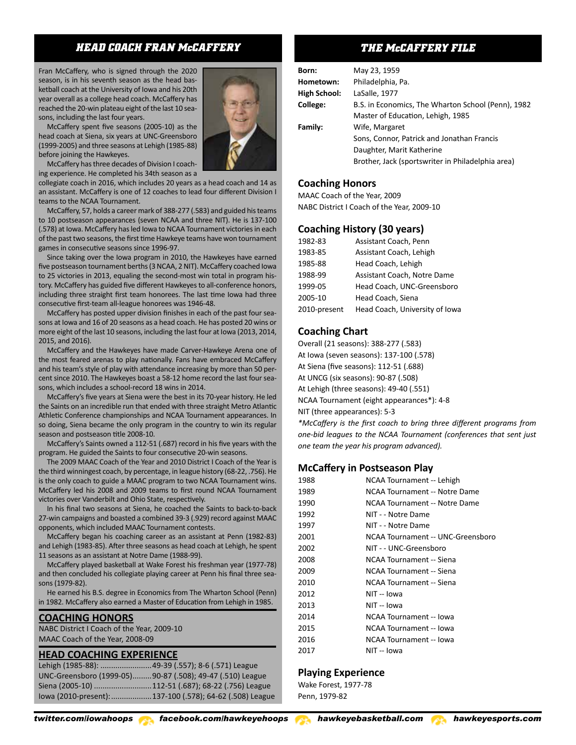# *HEAD COACH FRAN McCAFFERY*

Fran McCaffery, who is signed through the 2020 season, is in his seventh season as the head basketball coach at the University of Iowa and his 20th year overall as a college head coach. McCaffery has reached the 20-win plateau eight of the last 10 seasons, including the last four years.

McCaffery spent five seasons (2005-10) as the head coach at Siena, six years at UNC-Greensboro (1999-2005) and three seasons at Lehigh (1985-88) before joining the Hawkeyes.

McCaffery has three decades of Division I coaching experience. He completed his 34th season as a

collegiate coach in 2016, which includes 20 years as a head coach and 14 as an assistant. McCaffery is one of 12 coaches to lead four different Division I teams to the NCAA Tournament.

McCaffery, 57, holds a career mark of 388-277 (.583) and guided his teams to 10 postseason appearances (seven NCAA and three NIT). He is 137-100 (.578) at Iowa. McCaffery has led Iowa to NCAA Tournament victories in each of the past two seasons, the first time Hawkeye teams have won tournament games in consecutive seasons since 1996-97.

Since taking over the Iowa program in 2010, the Hawkeyes have earned five postseason tournament berths (3 NCAA, 2 NIT). McCaffery coached Iowa to 25 victories in 2013, equaling the second-most win total in program history. McCaffery has guided five different Hawkeyes to all-conference honors, including three straight first team honorees. The last time Iowa had three consecutive first-team all-league honorees was 1946-48.

McCaffery has posted upper division finishes in each of the past four seasons at Iowa and 16 of 20 seasons as a head coach. He has posted 20 wins or more eight of the last 10 seasons, including the last four at Iowa (2013, 2014, 2015, and 2016).

McCaffery and the Hawkeyes have made Carver-Hawkeye Arena one of the most feared arenas to play nationally. Fans have embraced McCaffery and his team's style of play with attendance increasing by more than 50 percent since 2010. The Hawkeyes boast a 58-12 home record the last four seasons, which includes a school-record 18 wins in 2014.

McCaffery's five years at Siena were the best in its 70-year history. He led the Saints on an incredible run that ended with three straight Metro Atlantic Athletic Conference championships and NCAA Tournament appearances. In so doing, Siena became the only program in the country to win its regular season and postseason title 2008-10.

McCaffery's Saints owned a 112-51 (.687) record in his five years with the program. He guided the Saints to four consecutive 20-win seasons.

The 2009 MAAC Coach of the Year and 2010 District I Coach of the Year is the third winningest coach, by percentage, in league history (68-22, .756). He is the only coach to guide a MAAC program to two NCAA Tournament wins. McCaffery led his 2008 and 2009 teams to first round NCAA Tournament victories over Vanderbilt and Ohio State, respectively.

In his final two seasons at Siena, he coached the Saints to back-to-back 27-win campaigns and boasted a combined 39-3 (.929) record against MAAC opponents, which included MAAC Tournament contests.

McCaffery began his coaching career as an assistant at Penn (1982-83) and Lehigh (1983-85). After three seasons as head coach at Lehigh, he spent 11 seasons as an assistant at Notre Dame (1988-99).

McCaffery played basketball at Wake Forest his freshman year (1977-78) and then concluded his collegiate playing career at Penn his final three seasons (1979-82).

He earned his B.S. degree in Economics from The Wharton School (Penn) in 1982. McCaffery also earned a Master of Education from Lehigh in 1985.

#### **COACHING HONORS**

NABC District I Coach of the Year, 2009-10 MAAC Coach of the Year, 2008-09

#### **HEAD COACHING EXPERIENCE**

| Lehigh (1985-88): 49-39 (.557); 8-6 (.571) League |                                                           |
|---------------------------------------------------|-----------------------------------------------------------|
|                                                   | UNC-Greensboro (1999-05)90-87 (.508); 49-47 (.510) League |
|                                                   | Siena (2005-10) 112-51 (.687); 68-22 (.756) League        |
|                                                   | lowa (2010-present): 137-100 (.578); 64-62 (.508) League  |



# *THE McCAFFERY FILE*

| Born:        | May 23, 1959                                       |
|--------------|----------------------------------------------------|
| Hometown:    | Philadelphia, Pa.                                  |
| High School: | LaSalle, 1977                                      |
| College:     | B.S. in Economics, The Wharton School (Penn), 1982 |
|              | Master of Education, Lehigh, 1985                  |
| Family:      | Wife, Margaret                                     |
|              | Sons, Connor, Patrick and Jonathan Francis         |
|              | Daughter, Marit Katherine                          |
|              | Brother, Jack (sportswriter in Philadelphia area)  |
|              |                                                    |

### **Coaching Honors**

MAAC Coach of the Year, 2009 NABC District I Coach of the Year, 2009-10

# **Coaching History (30 years)**

| 1982-83      | Assistant Coach, Penn          |
|--------------|--------------------------------|
| 1983-85      | Assistant Coach, Lehigh        |
| 1985-88      | Head Coach, Lehigh             |
| 1988-99      | Assistant Coach, Notre Dame    |
| 1999-05      | Head Coach, UNC-Greensboro     |
| 2005-10      | Head Coach, Siena              |
| 2010-present | Head Coach. University of Iowa |

# **Coaching Chart**

Overall (21 seasons): 388-277 (.583) At Iowa (seven seasons): 137-100 (.578) At Siena (five seasons): 112-51 (.688) At UNCG (six seasons): 90-87 (.508) At Lehigh (three seasons): 49-40 (.551) NCAA Tournament (eight appearances\*): 4-8 NIT (three appearances): 5-3

*\*McCaffery is the first coach to bring three different programs from one-bid leagues to the NCAA Tournament (conferences that sent just one team the year his program advanced).* 

# **McCaffery in Postseason Play**

| 1988 | NCAA Tournament -- Lehigh         |
|------|-----------------------------------|
| 1989 | NCAA Tournament -- Notre Dame     |
| 1990 | NCAA Tournament -- Notre Dame     |
| 1992 | NIT - - Notre Dame                |
| 1997 | NIT - - Notre Dame                |
| 2001 | NCAA Tournament -- UNC-Greensboro |
| 2002 | NIT - - UNC-Greensboro            |
| 2008 | NCAA Tournament -- Siena          |
| 2009 | NCAA Tournament -- Siena          |
| 2010 | NCAA Tournament -- Siena          |
| 2012 | NIT -- Iowa                       |
| 2013 | NIT -- Iowa                       |
| 2014 | NCAA Tournament -- Iowa           |
| 2015 | NCAA Tournament -- Iowa           |
| 2016 | NCAA Tournament -- Iowa           |
| 2017 | NIT -- Iowa                       |

# **Playing Experience**

Wake Forest, 1977-78 Penn, 1979-82

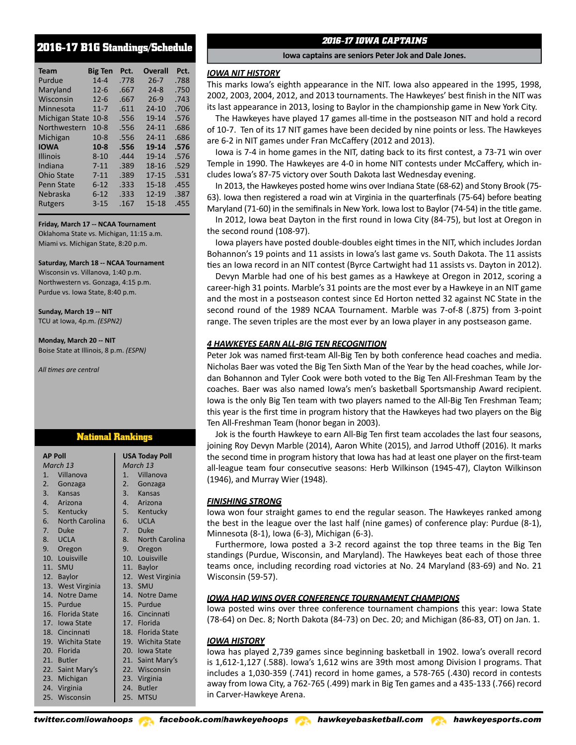# **2016-17 B1G Standings/Schedule**

| <b>Team</b>       | <b>Big Ten</b> | Pct. | <b>Overall</b> | Pct. |
|-------------------|----------------|------|----------------|------|
| Purdue            | $14 - 4$       | .778 | $26 - 7$       | .788 |
| Maryland          | $12 - 6$       | .667 | $24 - 8$       | .750 |
| Wisconsin         | $12 - 6$       | .667 | $26-9$         | .743 |
| Minnesota         | $11 - 7$       | .611 | $24 - 10$      | .706 |
| Michigan State    | $10 - 8$       | .556 | 19-14          | .576 |
| Northwestern      | $10 - 8$       | .556 | $24 - 11$      | .686 |
| Michigan          | $10-8$         | .556 | $24 - 11$      | .686 |
| <b>IOWA</b>       | $10-8$         | .556 | 19-14          | .576 |
| <b>Illinois</b>   | $8 - 10$       | .444 | 19-14          | .576 |
| Indiana           | $7 - 11$       | .389 | 18-16          | .529 |
| <b>Ohio State</b> | $7 - 11$       | .389 | $17 - 15$      | .531 |
| <b>Penn State</b> | $6 - 12$       | .333 | $15 - 18$      | .455 |
| Nebraska          | $6 - 12$       | .333 | 12-19          | .387 |
| <b>Rutgers</b>    | $3 - 15$       | .167 | $15 - 18$      | .455 |

**Friday, March 17 -- NCAA Tournament** Oklahoma State vs. Michigan, 11:15 a.m. Miami vs. Michigan State, 8:20 p.m.

#### **Saturday, March 18 -- NCAA Tournament**

Wisconsin vs. Villanova, 1:40 p.m. Northwestern vs. Gonzaga, 4:15 p.m. Purdue vs. Iowa State, 8:40 p.m.

**Sunday, March 19 -- NIT** TCU at Iowa, 4p.m. *(ESPN2)*

#### **Monday, March 20 -- NIT** Boise State at Illinois, 8 p.m. *(ESPN)*

*All times are central*

# **National Rankings**

| <b>AP Poll</b>    | <b>USA Today Poll</b> |
|-------------------|-----------------------|
| March 13          | March 13              |
| Villanova<br>1.   | Villanova<br>1.       |
| 2. Gonzaga        | 2. Gonzaga            |
| 3. Kansas         | 3. Kansas             |
| 4. Arizona        | 4. Arizona            |
| 5. Kentucky       | 5. Kentucky           |
| 6. North Carolina | 6. UCLA               |
| 7. Duke           | 7. Duke               |
| 8. UCLA           | 8. North Carolina     |
| 9. Oregon         | 9. Oregon             |
| 10. Louisville    | 10. Louisville        |
| 11. SMU           | 11. Baylor            |
| 12. Baylor        | 12. West Virginia     |
| 13. West Virginia | 13. SMU               |
| 14. Notre Dame    | 14. Notre Dame        |
| 15. Purdue        | 15. Purdue            |
| 16. Florida State | 16. Cincinnati        |
| 17. Iowa State    | 17. Florida           |
| 18. Cincinnati    | 18. Florida State     |
| 19. Wichita State | 19. Wichita State     |
| 20. Florida       | 20. Iowa State        |
| 21. Butler        | 21. Saint Mary's      |
| 22. Saint Mary's  | 22. Wisconsin         |
| 23. Michigan      | 23. Virginia          |
| 24. Virginia      | 24. Butler            |
| 25.<br>Wisconsin  | 25. MTSU              |

# *2016-17 IOWA CAPTAINS*

**Iowa captains are seniors Peter Jok and Dale Jones.**

#### *IOWA NIT HISTORY*

This marks Iowa's eighth appearance in the NIT. Iowa also appeared in the 1995, 1998, 2002, 2003, 2004, 2012, and 2013 tournaments. The Hawkeyes' best finish in the NIT was its last appearance in 2013, losing to Baylor in the championship game in New York City.

The Hawkeyes have played 17 games all-time in the postseason NIT and hold a record of 10-7. Ten of its 17 NIT games have been decided by nine points or less. The Hawkeyes are 6-2 in NIT games under Fran McCaffery (2012 and 2013).

Iowa is 7-4 in home games in the NIT, dating back to its first contest, a 73-71 win over Temple in 1990. The Hawkeyes are 4-0 in home NIT contests under McCaffery, which includes Iowa's 87-75 victory over South Dakota last Wednesday evening.

In 2013, the Hawkeyes posted home wins over Indiana State (68-62) and Stony Brook (75- 63). Iowa then registered a road win at Virginia in the quarterfinals (75-64) before beating Maryland (71-60) in the semifinals in New York. Iowa lost to Baylor (74-54) in the title game.

In 2012, Iowa beat Dayton in the first round in Iowa City (84-75), but lost at Oregon in the second round (108-97).

Iowa players have posted double-doubles eight times in the NIT, which includes Jordan Bohannon's 19 points and 11 assists in Iowa's last game vs. South Dakota. The 11 assists ties an Iowa record in an NIT contest (Byrce Cartwight had 11 assists vs. Dayton in 2012).

Devyn Marble had one of his best games as a Hawkeye at Oregon in 2012, scoring a career-high 31 points. Marble's 31 points are the most ever by a Hawkeye in an NIT game and the most in a postseason contest since Ed Horton netted 32 against NC State in the second round of the 1989 NCAA Tournament. Marble was 7-of-8 (.875) from 3-point range. The seven triples are the most ever by an Iowa player in any postseason game.

### *4 HAWKEYES EARN ALL-BIG TEN RECOGNITION*

Peter Jok was named first-team All-Big Ten by both conference head coaches and media. Nicholas Baer was voted the Big Ten Sixth Man of the Year by the head coaches, while Jordan Bohannon and Tyler Cook were both voted to the Big Ten All-Freshman Team by the coaches. Baer was also named Iowa's men's basketball Sportsmanship Award recipient. Iowa is the only Big Ten team with two players named to the All-Big Ten Freshman Team; this year is the first time in program history that the Hawkeyes had two players on the Big Ten All-Freshman Team (honor began in 2003).

Jok is the fourth Hawkeye to earn All-Big Ten first team accolades the last four seasons, joining Roy Devyn Marble (2014), Aaron White (2015), and Jarrod Uthoff (2016). It marks the second time in program history that Iowa has had at least one player on the first-team all-league team four consecutive seasons: Herb Wilkinson (1945-47), Clayton Wilkinson (1946), and Murray Wier (1948).

#### *FINISHING STRONG*

Iowa won four straight games to end the regular season. The Hawkeyes ranked among the best in the league over the last half (nine games) of conference play: Purdue (8-1), Minnesota (8-1), Iowa (6-3), Michigan (6-3).

Furthermore, Iowa posted a 3-2 record against the top three teams in the Big Ten standings (Purdue, Wisconsin, and Maryland). The Hawkeyes beat each of those three teams once, including recording road victories at No. 24 Maryland (83-69) and No. 21 Wisconsin (59-57).

#### *IOWA HAD WINS OVER CONFERENCE TOURNAMENT CHAMPIONS*

Iowa posted wins over three conference tournament champions this year: Iowa State (78-64) on Dec. 8; North Dakota (84-73) on Dec. 20; and Michigan (86-83, OT) on Jan. 1.

#### *IOWA HISTORY*

Iowa has played 2,739 games since beginning basketball in 1902. Iowa's overall record is 1,612-1,127 (.588). Iowa's 1,612 wins are 39th most among Division I programs. That includes a 1,030-359 (.741) record in home games, a 578-765 (.430) record in contests away from Iowa City, a 762-765 (.499) mark in Big Ten games and a 435-133 (.766) record in Carver-Hawkeye Arena.

*twitter.com/iowahoops facebook.com/hawkeyehoops hawkeyebasketball.com hawkeyesports.com*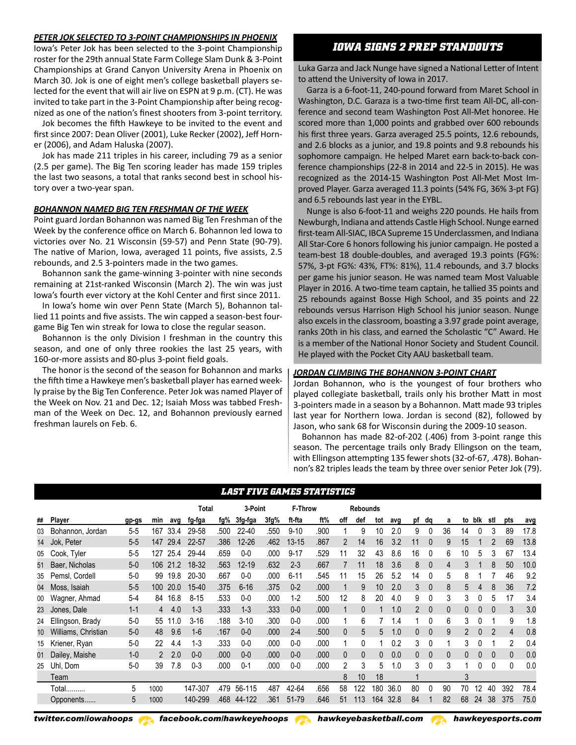#### *PETER JOK SELECTED TO 3-POINT CHAMPIONSHIPS IN PHOENIX*

Iowa's Peter Jok has been selected to the 3-point Championship roster for the 29th annual State Farm College Slam Dunk & 3-Point Championships at Grand Canyon University Arena in Phoenix on March 30. Jok is one of eight men's college basketball players selected for the event that will air live on ESPN at 9 p.m. (CT). He was invited to take part in the 3-Point Championship after being recognized as one of the nation's finest shooters from 3-point territory.

Jok becomes the fifth Hawkeye to be invited to the event and first since 2007: Dean Oliver (2001), Luke Recker (2002), Jeff Horner (2006), and Adam Haluska (2007).

Jok has made 211 triples in his career, including 79 as a senior (2.5 per game). The Big Ten scoring leader has made 159 triples the last two seasons, a total that ranks second best in school history over a two-year span.

#### *BOHANNON NAMED BIG TEN FRESHMAN OF THE WEEK*

Point guard Jordan Bohannon was named Big Ten Freshman of the Week by the conference office on March 6. Bohannon led Iowa to victories over No. 21 Wisconsin (59-57) and Penn State (90-79). The native of Marion, Iowa, averaged 11 points, five assists, 2.5 rebounds, and 2.5 3-pointers made in the two games.

Bohannon sank the game-winning 3-pointer with nine seconds remaining at 21st-ranked Wisconsin (March 2). The win was just Iowa's fourth ever victory at the Kohl Center and first since 2011.

In Iowa's home win over Penn State (March 5), Bohannon tallied 11 points and five assists. The win capped a season-best fourgame Big Ten win streak for Iowa to close the regular season.

Bohannon is the only Division I freshman in the country this season, and one of only three rookies the last 25 years, with 160-or-more assists and 80-plus 3-point field goals.

The honor is the second of the season for Bohannon and marks the fifth time a Hawkeye men's basketball player has earned weekly praise by the Big Ten Conference. Peter Jok was named Player of the Week on Nov. 21 and Dec. 12; Isaiah Moss was tabbed Freshman of the Week on Dec. 12, and Bohannon previously earned freshman laurels on Feb. 6.

# *IOWA SIGNS 2 PREP STANDOUTS*

Luka Garza and Jack Nunge have signed a National Letter of Intent to attend the University of Iowa in 2017.

Garza is a 6-foot-11, 240-pound forward from Maret School in Washington, D.C. Garaza is a two-time first team All-DC, all-conference and second team Washington Post All-Met honoree. He scored more than 1,000 points and grabbed over 600 rebounds his first three years. Garza averaged 25.5 points, 12.6 rebounds, and 2.6 blocks as a junior, and 19.8 points and 9.8 rebounds his sophomore campaign. He helped Maret earn back-to-back conference championships (22-8 in 2014 and 22-5 in 2015). He was recognized as the 2014-15 Washington Post All-Met Most Improved Player. Garza averaged 11.3 points (54% FG, 36% 3-pt FG) and 6.5 rebounds last year in the EYBL.

Nunge is also 6-foot-11 and weighs 220 pounds. He hails from Newburgh, Indiana and attends Castle High School. Nunge earned first-team All-SIAC, IBCA Supreme 15 Underclassmen, and Indiana All Star-Core 6 honors following his junior campaign. He posted a team-best 18 double-doubles, and averaged 19.3 points (FG%: 57%, 3-pt FG%: 43%, FT%: 81%), 11.4 rebounds, and 3.7 blocks per game his junior season. He was named team Most Valuable Player in 2016. A two-time team captain, he tallied 35 points and 25 rebounds against Bosse High School, and 35 points and 22 rebounds versus Harrison High School his junior season. Nunge also excels in the classroom, boasting a 3.97 grade point average, ranks 20th in his class, and earned the Scholastic "C" Award. He is a member of the National Honor Society and Student Council. He played with the Pocket City AAU basketball team.

#### *JORDAN CLIMBING THE BOHANNON 3-POINT CHART*

Jordan Bohannon, who is the youngest of four brothers who played collegiate basketball, trails only his brother Matt in most 3-pointers made in a season by a Bohannon. Matt made 93 triples previously earned  $\mid$  last year for Northern Iowa. Jordan is second (82), followed by Jason, who sank 68 for Wisconsin during the 2009-10 season.

Bohannon has made 82-of-202 (.406) from 3-point range this season. The percentage trails only Brady Ellingson on the team, with Ellingson attempting 135 fewer shots (32-of-67, .478). Bohan non's 82 triples leads the team by three over senior Peter Jok (79).

# *LAST FIVE GAMES STATISTICS*

|    |                     |         |      |      | Total     |      | 3-Point   |      | F-Throw   |      |     | <b>Rebounds</b> |     |      |          |                |    |    |     |                |              |      |
|----|---------------------|---------|------|------|-----------|------|-----------|------|-----------|------|-----|-----------------|-----|------|----------|----------------|----|----|-----|----------------|--------------|------|
| ## | Player              | gp-gs   | min  | avg  | fg fga    | fg%  | 3fg tga   | 3fg% | ft-fta    | ft%  | off | def             | tot | avg  |          | pf dg          | a  | to | blk | stl            | pts          | avg  |
| 03 | Bohannon, Jordan    | $5 - 5$ | 167  | 33.4 | 29-58     | .500 | $22 - 40$ | .550 | $9 - 10$  | .900 |     | 9               | 10  | 2.0  | 9        | 0              | 36 | 14 |     | 3              | 89           | 17.8 |
| 14 | Jok, Peter          | $5 - 5$ | 147  | 29.4 | $22 - 57$ | .386 | $12 - 26$ | .462 | $13 - 15$ | .867 | 2   | 14              | 16  | 3.2  | 11       | $\theta$       | 9  | 15 |     |                | 69           | 13.8 |
| 05 | Cook, Tyler         | $5 - 5$ | 127  | 25.4 | 29-44     | .659 | $0-0$     | .000 | $9 - 17$  | .529 | 11  | 32              | 43  | 8.6  | 16       | 0              | 6  | 10 | 5   | 3              | 67           | 13.4 |
| 51 | Baer, Nicholas      | $5-0$   | 106  | 21.2 | 18-32     | .563 | 12-19     | .632 | $2 - 3$   | .667 |     | 11              | 18  | 3.6  | 8        | $\mathbf{0}$   | 4  | 3  |     | 8              | 50           | 10.0 |
| 35 | Pemsl, Cordell      | $5-0$   | 99   | 19.8 | 20-30     | .667 | $0 - 0$   | .000 | $6 - 11$  | .545 |     | 15              | 26  | 5.2  | 14       | 0              | 5  | 8  |     |                | 46           | 9.2  |
| 04 | Moss, Isaiah        | $5-5$   | 100  | 20.0 | $15 - 40$ | .375 | $6 - 16$  | .375 | $0 - 2$   | .000 |     | 9               | 10  | 2.0  | 3        | $\mathbf{0}$   | 8  | 5  | 4   | 8              | 36           | 7.2  |
| 00 | Wagner, Ahmad       | $5 - 4$ | 84   | 16.8 | $8 - 15$  | .533 | $0-0$     | .000 | $1-2$     | .500 | 12  | 8               | 20  | 4.0  | 9        | 0              | 3  | 3  |     | 5              | 17           | 3.4  |
| 23 | Jones, Dale         | $1 - 1$ | 4    | 4.0  | $1 - 3$   | .333 | $1 - 3$   | .333 | $0-0$     | .000 |     | 0               |     | 1.0  |          | $\overline{0}$ | 0  | 0  |     |                | 3            | 3.0  |
| 24 | Ellingson, Brady    | $5-0$   | 55   | 11.0 | $3 - 16$  | .188 | $3 - 10$  | .300 | $0 - 0$   | .000 |     | 6               |     | 1.4  |          | 0              | 6  | 3  |     |                | 9            | 1.8  |
| 10 | Williams, Christian | $5-0$   | 48   | 9.6  | $1-6$     | .167 | $0-0$     | .000 | $2 - 4$   | .500 | 0   | 5               | 5   | 1.0  | $\Omega$ | $\mathbf{0}$   | 9  | 2  | 0   | 2              | 4            | 0.8  |
| 15 | Kriener, Ryan       | $5-0$   | 22   | 4.4  | $1 - 3$   | .333 | $0-0$     | .000 | $0-0$     | .000 |     | 0               |     | 0.2  | 3        | 0              |    | 3  |     |                | 2            | 0.4  |
| 01 | Dailey, Maishe      | $1 - 0$ |      | 2.0  | $0-0$     | .000 | $0-0$     | .000 | $0-0$     | .000 | 0   | 0               | 0   | 0.0  | $\Omega$ | $\mathbf{0}$   | 0  | 0  | 0   | $\overline{0}$ | $\mathbf{0}$ | 0.0  |
| 25 | Uhl. Dom            | $5-0$   | 39   | 7.8  | $0 - 3$   | .000 | $0 - 1$   | .000 | $0 - 0$   | .000 | 2   | 3               | 5   | 1.0  | 3        | 0              | 3  |    | 0   | 0              | 0            | 0.0  |
|    | Team                |         |      |      |           |      |           |      |           |      | 8   | 10              | 18  |      |          |                |    | 3  |     |                |              |      |
|    | Total               | 5       | 1000 |      | 147-307   | .479 | 56-115    | .487 | 42-64     | .656 | 58  | 122             | 180 | 36.0 | 80       | 0              | 90 | 70 | 12  | 40             | 392          | 78.4 |
|    | Opponents           | 5       | 1000 |      | 140-299   | .468 | 44-122    | .361 | 51-79     | .646 | 51  | 113             | 164 | 32.8 | 84       |                | 82 | 68 | 24  | 38             | 375          | 75.0 |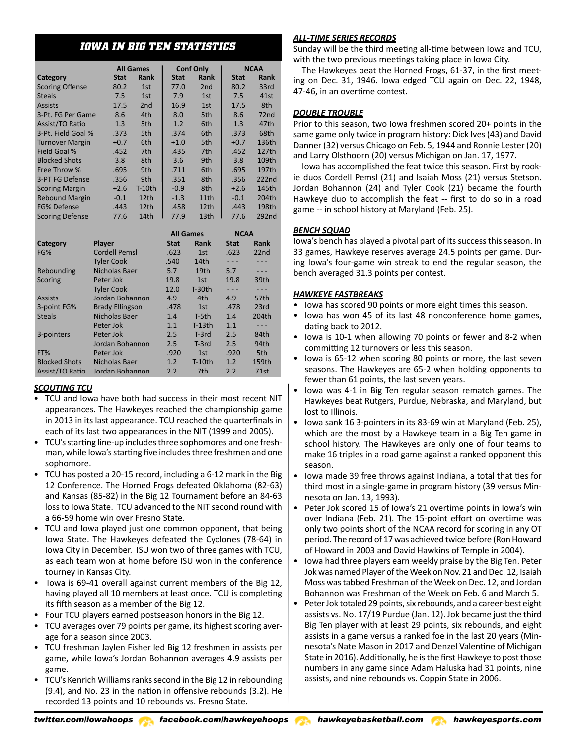# *IOWA IN BIG TEN STATISTICS*

|                        |             | <b>All Games</b> |             | <b>Conf Only</b> |             | <b>NCAA</b>       |
|------------------------|-------------|------------------|-------------|------------------|-------------|-------------------|
| Category               | <b>Stat</b> | Rank             | <b>Stat</b> | Rank             | <b>Stat</b> | <b>Rank</b>       |
| <b>Scoring Offense</b> | 80.2        | 1st              | 77.0        | 2nd              | 80.2        | 33rd              |
| <b>Steals</b>          | 7.5         | 1st              | 7.9         | 1st              | 7.5         | 41st              |
| <b>Assists</b>         | 17.5        | 2 <sub>nd</sub>  | 16.9        | 1st              | 17.5        | 8th               |
| 3-Pt. FG Per Game      | 8.6         | 4th              | 8.0         | 5th              | 8.6         | 72 <sub>nd</sub>  |
| Assist/TO Ratio        | 1.3         | 5th              | 1.2         | 6th              | 1.3         | 47th              |
| 3-Pt. Field Goal %     | .373        | 5th              | .374        | 6th              | .373        | 68th              |
| <b>Turnover Margin</b> | $+0.7$      | 6th              | $+1.0$      | 5th              | $+0.7$      | 136th             |
| <b>Field Goal %</b>    | .452        | 7th              | .435        | 7th              | .452        | 127th             |
| <b>Blocked Shots</b>   | 3.8         | 8th              | 3.6         | 9th              | 3.8         | 109th             |
| Free Throw %           | .695        | 9th              | .711        | 6th              | .695        | 197th             |
| 3-PT FG Defense        | .356        | 9th              | .351        | 8th              | .356        | 222nd             |
| <b>Scoring Margin</b>  | $+2.6$      | $T-10$ th        | $-0.9$      | 8th              | $+2.6$      | 145th             |
| <b>Rebound Margin</b>  | $-0.1$      | 12th             | $-1.3$      | 11th             | $-0.1$      | 204th             |
| <b>FG% Defense</b>     | .443        | 12th             | .458        | 12th             | .443        | 198th             |
| <b>Scoring Defense</b> | 77.6        | 14th             | 77.9        | 13th             | 77.6        | 292 <sub>nd</sub> |

|                      |                        |             | <b>All Games</b> | <b>NCAA</b> |                  |
|----------------------|------------------------|-------------|------------------|-------------|------------------|
| Category             | <b>Player</b>          | <b>Stat</b> | Rank             | <b>Stat</b> | Rank             |
| FG%                  | <b>Cordell Pemsl</b>   | .623        | 1st              | .623        | 22 <sub>nd</sub> |
|                      | <b>Tyler Cook</b>      | .540        | 14th             |             |                  |
| Rebounding           | Nicholas Baer          | 5.7         | 19th             | 5.7         |                  |
| <b>Scoring</b>       | Peter Jok              | 19.8        | 1st              | 19.8        | 39th             |
|                      | <b>Tyler Cook</b>      | 12.0        | $T-30th$         |             |                  |
| <b>Assists</b>       | Jordan Bohannon        | 4.9         | 4th              | 4.9         | 57th             |
| 3-point FG%          | <b>Brady Ellingson</b> | .478        | 1st              | .478        | 23rd             |
| <b>Steals</b>        | Nicholas Baer          | 1.4         | T-5th            | 1.4         | 204th            |
|                      | Peter Jok              | 1.1         | $T-13th$         | 1.1         |                  |
| 3-pointers           | Peter Jok              | 2.5         | $T-3rd$          | 2.5         | 84th             |
|                      | Jordan Bohannon        | 2.5         | $T-3rd$          | 2.5         | 94th             |
| FT%                  | Peter Jok              | .920        | 1st              | .920        | 5th              |
| <b>Blocked Shots</b> | Nicholas Baer          | 1.2         | $T-10$ th        | 1.2         | 159th            |
| Assist/TO Ratio      | Jordan Bohannon        | 2.2         | 7th              | 2.2         | 71st             |

# *SCOUTING TCU*

- TCU and Iowa have both had success in their most recent NIT appearances. The Hawkeyes reached the championship game in 2013 in its last appearance. TCU reached the quarterfinals in each of its last two appearances in the NIT (1999 and 2005).
- TCU's starting line-up includes three sophomores and one freshman, while Iowa's starting five includes three freshmen and one sophomore.
- TCU has posted a 20-15 record, including a 6-12 mark in the Big 12 Conference. The Horned Frogs defeated Oklahoma (82-63) and Kansas (85-82) in the Big 12 Tournament before an 84-63 loss to Iowa State. TCU advanced to the NIT second round with a 66-59 home win over Fresno State.
- TCU and Iowa played just one common opponent, that being Iowa State. The Hawkeyes defeated the Cyclones (78-64) in Iowa City in December. ISU won two of three games with TCU, as each team won at home before ISU won in the conference tourney in Kansas City.
- Iowa is 69-41 overall against current members of the Big 12, having played all 10 members at least once. TCU is completing its fifth season as a member of the Big 12.
- Four TCU players earned postseason honors in the Big 12.
- TCU averages over 79 points per game, its highest scoring average for a season since 2003.
- TCU freshman Jaylen Fisher led Big 12 freshmen in assists per game, while Iowa's Jordan Bohannon averages 4.9 assists per game.
- TCU's Kenrich Williams ranks second in the Big 12 in rebounding (9.4), and No. 23 in the nation in offensive rebounds (3.2). He recorded 13 points and 10 rebounds vs. Fresno State.

### *ALL-TIME SERIES RECORDS*

Sunday will be the third meeting all-time between Iowa and TCU, with the two previous meetings taking place in Iowa City.

The Hawkeyes beat the Horned Frogs, 61-37, in the first meeting on Dec. 31, 1946. Iowa edged TCU again on Dec. 22, 1948, 47-46, in an overtime contest.

# *DOUBLE TROUBLE*

Prior to this season, two Iowa freshmen scored 20+ points in the same game only twice in program history: Dick Ives (43) and David Danner (32) versus Chicago on Feb. 5, 1944 and Ronnie Lester (20) and Larry Olsthoorn (20) versus Michigan on Jan. 17, 1977.

Iowa has accomplished the feat twice this season. First by rookie duos Cordell Pemsl (21) and Isaiah Moss (21) versus Stetson. Jordan Bohannon (24) and Tyler Cook (21) became the fourth Hawkeye duo to accomplish the feat -- first to do so in a road game -- in school history at Maryland (Feb. 25).

# *BENCH SQUAD*

Iowa's bench has played a pivotal part of its success this season. In 33 games, Hawkeye reserves average 24.5 points per game. During Iowa's four-game win streak to end the regular season, the bench averaged 31.3 points per contest.

### *HAWKEYE FASTBREAKS*

- Iowa has scored 90 points or more eight times this season.
- Iowa has won 45 of its last 48 nonconference home games, dating back to 2012.
- Iowa is 10-1 when allowing 70 points or fewer and 8-2 when committing 12 turnovers or less this season.
- Iowa is 65-12 when scoring 80 points or more, the last seven seasons. The Hawkeyes are 65-2 when holding opponents to fewer than 61 points, the last seven years.
- Iowa was 4-1 in Big Ten regular season rematch games. The Hawkeyes beat Rutgers, Purdue, Nebraska, and Maryland, but lost to Illinois.
- Iowa sank 16 3-pointers in its 83-69 win at Maryland (Feb. 25), which are the most by a Hawkeye team in a Big Ten game in school history. The Hawkeyes are only one of four teams to make 16 triples in a road game against a ranked opponent this season.
- Iowa made 39 free throws against Indiana, a total that ties for third most in a single-game in program history (39 versus Minnesota on Jan. 13, 1993).
- Peter Jok scored 15 of Iowa's 21 overtime points in Iowa's win over Indiana (Feb. 21). The 15-point effort on overtime was only two points short of the NCAA record for scoring in any OT period. The record of 17 was achieved twice before (Ron Howard of Howard in 2003 and David Hawkins of Temple in 2004).
- Iowa had three players earn weekly praise by the Big Ten. Peter Jok was named Player of the Week on Nov. 21 and Dec. 12, Isaiah Moss was tabbed Freshman of the Week on Dec. 12, and Jordan Bohannon was Freshman of the Week on Feb. 6 and March 5.
- Peter Jok totaled 29 points, six rebounds, and a career-best eight assists vs. No. 17/19 Purdue (Jan. 12). Jok became just the third Big Ten player with at least 29 points, six rebounds, and eight assists in a game versus a ranked foe in the last 20 years (Minnesota's Nate Mason in 2017 and Denzel Valentine of Michigan State in 2016). Additionally, he is the first Hawkeye to post those numbers in any game since Adam Haluska had 31 points, nine assists, and nine rebounds vs. Coppin State in 2006.

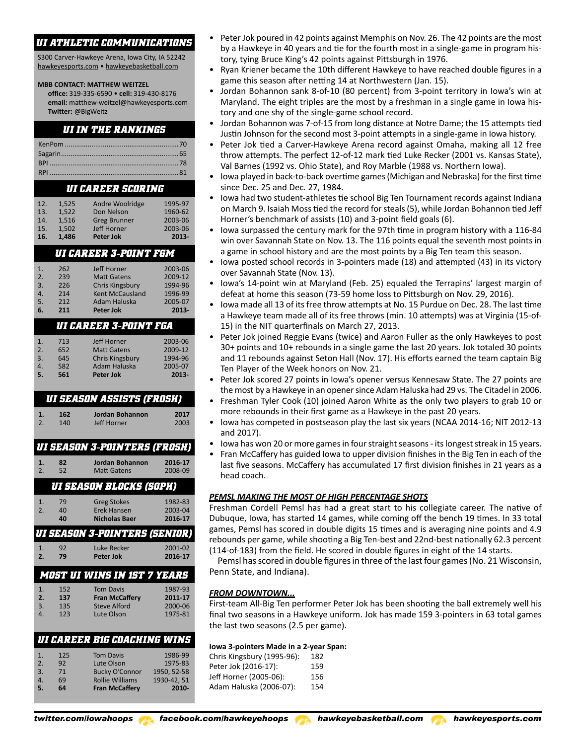S300 Carver-Hawkeye Arena, Iowa City, IA 52242 hawkeyesports.com • hawkeyebasketball.com

#### **MBB CONTACT: MATTHEW WEITZEL**

**office:** 319-335-6590 • **cell:** 319-430-8176 **email:** matthew-weitzel@hawkeyesports.com **Twitter:** @BigWeitz

# *UI IN THE RANKINGS*

# *UI CAREER SCORING*

| 12. | 1,525 | Andre Woolridge     | 1995-97  |
|-----|-------|---------------------|----------|
| 13. | 1.522 | Don Nelson          | 1960-62  |
| 14. | 1.516 | <b>Greg Brunner</b> | 2003-06  |
| 15. | 1.502 | Jeff Horner         | 2003-06  |
| 16. | 1.486 | <b>Peter Jok</b>    | $2013 -$ |

# *UI CAREER 3-POINT FGM*

| 1.               | 262 | <b>Jeff Horner</b>                  | 2003-06  |
|------------------|-----|-------------------------------------|----------|
| 2.               | 239 | <b>Matt Gatens</b>                  | 2009-12  |
| 3.               | 226 | <b>Chris Kingsbury</b>              | 1994-96  |
| $\overline{4}$ . | 214 | <b>Kent McCausland</b>              | 1996-99  |
| 5.               | 212 | Adam Haluska                        | 2005-07  |
| 6.               | 211 | Peter Jok                           | $2013 -$ |
|                  |     | <i><b>UI CAREER 3-POINT FGA</b></i> |          |
| 1.               | 713 | <b>Jeff Horner</b>                  | 2003-06  |
| 2.               | 652 | <b>Matt Gatens</b>                  | 2009-12  |

| 5.             | 561 | Peter Jok          | 2013-   |
|----------------|-----|--------------------|---------|
| 4.             | 582 | Adam Haluska       | 2005-07 |
| 3.             | 645 | Chris Kingsbury    | 1994-96 |
| $\overline{2}$ | 652 | <b>Matt Gatens</b> | 2009-12 |

# *UI SEASON ASSISTS (FROSH)*

| $\mathbb{Z}$ . | 162 | Jordan Bohannon | 2017 |
|----------------|-----|-----------------|------|
|                | 140 | Jeff Horner     | 2003 |
|                |     |                 |      |

| <i><b>UI SEASON 3-POINTERS (FROSH)</b></i> |  |
|--------------------------------------------|--|
|                                            |  |
|                                            |  |

| -1.                                   | 82  | Jordan Bohannon | 2016-17 |  |  |  |
|---------------------------------------|-----|-----------------|---------|--|--|--|
| $\overline{2}$                        | 52. | Matt Gatens     | 2008-09 |  |  |  |
| <i><b>UI SEASON BLOCKS (SOPH)</b></i> |     |                 |         |  |  |  |

| А.           | 79. | <b>Greg Stokes</b>   | 1982-83 |
|--------------|-----|----------------------|---------|
| $\mathbf{2}$ | 40  | Erek Hansen          | 2003-04 |
|              | 40  | <b>Nicholas Baer</b> | 2016-17 |

# *UI SEASON 3-POINTERS (SENIOR)*

|                | 92  | Luke Recker | 2001-02 |
|----------------|-----|-------------|---------|
| $\mathbf{Z}$ . | 79. | Peter Jok   | 2016-17 |

| MOST UI WINS IN 15T 7 YEARS |     |                       |         |  |
|-----------------------------|-----|-----------------------|---------|--|
| 1.                          | 152 | <b>Tom Davis</b>      | 1987-93 |  |
| 2.                          | 137 | <b>Fran McCaffery</b> | 2011-17 |  |
| $\overline{3}$ .            | 135 | <b>Steve Alford</b>   | 2000-06 |  |
|                             | 123 | Lute Olson            | 1975-81 |  |

# *UI CAREER B1G COACHING WINS*

| 5.             | 64  | <b>Fran McCaffery</b>  | 2010        |
|----------------|-----|------------------------|-------------|
| $\mathbf{4}$ . | 69  | <b>Rollie Williams</b> | 1930-42, 51 |
| 3.             | 71  | Bucky O'Connor         | 1950. 52-58 |
| 2.             | 92  | Lute Olson             | 1975-83     |
| 1.             | 125 | <b>Tom Davis</b>       | 1986-99     |
|                |     |                        |             |

- Peter Jok poured in 42 points against Memphis on Nov. 26. The 42 points are the most by a Hawkeye in 40 years and tie for the fourth most in a single-game in program history, tying Bruce King's 42 points against Pittsburgh in 1976.
- Ryan Kriener became the 10th different Hawkeye to have reached double figures in a game this season after netting 14 at Northwestern (Jan. 15).
- Jordan Bohannon sank 8-of-10 (80 percent) from 3-point territory in Iowa's win at Maryland. The eight triples are the most by a freshman in a single game in Iowa history and one shy of the single-game school record.
- Jordan Bohannon was 7-of-15 from long distance at Notre Dame; the 15 attempts tied Justin Johnson for the second most 3-point attempts in a single-game in Iowa history.
- Peter Jok tied a Carver-Hawkeye Arena record against Omaha, making all 12 free throw attempts. The perfect 12-of-12 mark tied Luke Recker (2001 vs. Kansas State), Val Barnes (1992 vs. Ohio State), and Roy Marble (1988 vs. Northern Iowa).
- Iowa played in back-to-back overtime games (Michigan and Nebraska) for the first time since Dec. 25 and Dec. 27, 1984.
- Iowa had two student-athletes tie school Big Ten Tournament records against Indiana on March 9. Isaiah Moss tied the record for steals (5), while Jordan Bohannon tied Jeff Horner's benchmark of assists (10) and 3-point field goals (6).
- Iowa surpassed the century mark for the 97th time in program history with a 116-84 win over Savannah State on Nov. 13. The 116 points equal the seventh most points in a game in school history and are the most points by a Big Ten team this season.
- Iowa posted school records in 3-pointers made (18) and attempted (43) in its victory over Savannah State (Nov. 13).
- Iowa's 14-point win at Maryland (Feb. 25) equaled the Terrapins' largest margin of defeat at home this season (73-59 home loss to Pittsburgh on Nov. 29, 2016).
- Iowa made all 13 of its free throw attempts at No. 15 Purdue on Dec. 28. The last time a Hawkeye team made all of its free throws (min. 10 attempts) was at Virginia (15-of-15) in the NIT quarterfinals on March 27, 2013.
- Peter Jok joined Reggie Evans (twice) and Aaron Fuller as the only Hawkeyes to post 30+ points and 10+ rebounds in a single game the last 20 years. Jok totaled 30 points and 11 rebounds against Seton Hall (Nov. 17). His efforts earned the team captain Big Ten Player of the Week honors on Nov. 21.
- Peter Jok scored 27 points in Iowa's opener versus Kennesaw State. The 27 points are the most by a Hawkeye in an opener since Adam Haluska had 29 vs. The Citadel in 2006.
- Freshman Tyler Cook (10) joined Aaron White as the only two players to grab 10 or more rebounds in their first game as a Hawkeye in the past 20 years.
- Iowa has competed in postseason play the last six years (NCAA 2014-16; NIT 2012-13 and 2017).
- Iowa has won 20 or more games in four straight seasons its longest streak in 15 years.
- Fran McCaffery has guided Iowa to upper division finishes in the Big Ten in each of the last five seasons. McCaffery has accumulated 17 first division finishes in 21 years as a head coach.

# *PEMSL MAKING THE MOST OF HIGH PERCENTAGE SHOTS*

Freshman Cordell Pemsl has had a great start to his collegiate career. The native of Dubuque, Iowa, has started 14 games, while coming off the bench 19 times. In 33 total games, Pemsl has scored in double digits 15 times and is averaging nine points and 4.9 rebounds per game, while shooting a Big Ten-best and 22nd-best nationally 62.3 percent (114-of-183) from the field. He scored in double figures in eight of the 14 starts.

Pemsl has scored in double figures in three of the last four games (No. 21 Wisconsin, Penn State, and Indiana).

# *FROM DOWNTOWN...*

First-team All-Big Ten performer Peter Jok has been shooting the ball extremely well his final two seasons in a Hawkeye uniform. Jok has made 159 3-pointers in 63 total games the last two seasons (2.5 per game).

#### **Iowa 3-pointers Made in a 2-year Span:**

| Chris Kingsbury (1995-96): | 182 |
|----------------------------|-----|
| Peter Jok (2016-17):       | 159 |
| Jeff Horner (2005-06):     | 156 |
| Adam Haluska (2006-07):    | 154 |

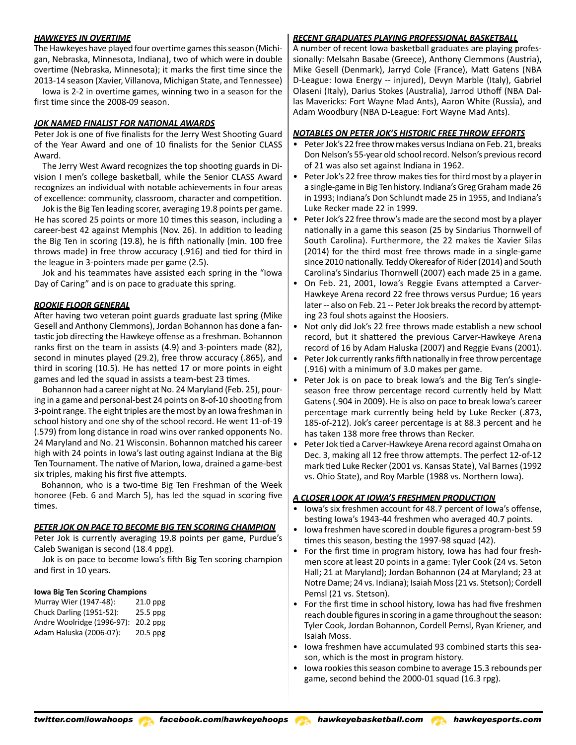### *HAWKEYES IN OVERTIME*

The Hawkeyes have played four overtime games this season (Michigan, Nebraska, Minnesota, Indiana), two of which were in double overtime (Nebraska, Minnesota); it marks the first time since the 2013-14 season (Xavier, Villanova, Michigan State, and Tennessee)

Iowa is 2-2 in overtime games, winning two in a season for the first time since the 2008-09 season.

#### *JOK NAMED FINALIST FOR NATIONAL AWARDS*

Peter Jok is one of five finalists for the Jerry West Shooting Guard of the Year Award and one of 10 finalists for the Senior CLASS Award.

The Jerry West Award recognizes the top shooting guards in Division I men's college basketball, while the Senior CLASS Award recognizes an individual with notable achievements in four areas of excellence: community, classroom, character and competition.

Jok is the Big Ten leading scorer, averaging 19.8 points per game. He has scored 25 points or more 10 times this season, including a career-best 42 against Memphis (Nov. 26). In addition to leading the Big Ten in scoring (19.8), he is fifth nationally (min. 100 free throws made) in free throw accuracy (.916) and tied for third in the league in 3-pointers made per game (2.5).

Jok and his teammates have assisted each spring in the "Iowa Day of Caring" and is on pace to graduate this spring.

#### *ROOKIE FLOOR GENERAL*

After having two veteran point guards graduate last spring (Mike Gesell and Anthony Clemmons), Jordan Bohannon has done a fantastic job directing the Hawkeye offense as a freshman. Bohannon ranks first on the team in assists (4.9) and 3-pointers made (82), second in minutes played (29.2), free throw accuracy (.865), and third in scoring (10.5). He has netted 17 or more points in eight games and led the squad in assists a team-best 23 times.

Bohannon had a career night at No. 24 Maryland (Feb. 25), pouring in a game and personal-best 24 points on 8-of-10 shooting from 3-point range. The eight triples are the most by an Iowa freshman in school history and one shy of the school record. He went 11-of-19 (.579) from long distance in road wins over ranked opponents No. 24 Maryland and No. 21 Wisconsin. Bohannon matched his career high with 24 points in Iowa's last outing against Indiana at the Big Ten Tournament. The native of Marion, Iowa, drained a game-best six triples, making his first five attempts.

Bohannon, who is a two-time Big Ten Freshman of the Week honoree (Feb. 6 and March 5), has led the squad in scoring five times.

#### *PETER JOK ON PACE TO BECOME BIG TEN SCORING CHAMPION*

Peter Jok is currently averaging 19.8 points per game, Purdue's Caleb Swanigan is second (18.4 ppg).

Jok is on pace to become Iowa's fifth Big Ten scoring champion and first in 10 years.

#### **Iowa Big Ten Scoring Champions**

| Murray Wier (1947-48):     | $21.0$ ppg |
|----------------------------|------------|
| Chuck Darling (1951-52):   | $25.5$ ppg |
| Andre Woolridge (1996-97): | $20.2$ ppg |
| Adam Haluska (2006-07):    | $20.5$ ppg |

#### *RECENT GRADUATES PLAYING PROFESSIONAL BASKETBALL*

A number of recent Iowa basketball graduates are playing professionally: Melsahn Basabe (Greece), Anthony Clemmons (Austria), Mike Gesell (Denmark), Jarryd Cole (France), Matt Gatens (NBA D-League: Iowa Energy -- injured), Devyn Marble (Italy), Gabriel Olaseni (Italy), Darius Stokes (Australia), Jarrod Uthoff (NBA Dallas Mavericks: Fort Wayne Mad Ants), Aaron White (Russia), and Adam Woodbury (NBA D-League: Fort Wayne Mad Ants).

#### *NOTABLES ON PETER JOK'S HISTORIC FREE THROW EFFORTS*

- Peter Jok's 22 free throw makes versus Indiana on Feb. 21, breaks Don Nelson's 55-year old school record. Nelson's previous record of 21 was also set against Indiana in 1962.
- Peter Jok's 22 free throw makes ties for third most by a player in a single-game in Big Ten history. Indiana's Greg Graham made 26 in 1993; Indiana's Don Schlundt made 25 in 1955, and Indiana's Luke Recker made 22 in 1999.
- Peter Jok's 22 free throw's made are the second most by a player nationally in a game this season (25 by Sindarius Thornwell of South Carolina). Furthermore, the 22 makes tie Xavier Silas (2014) for the third most free throws made in a single-game since 2010 nationally. Teddy Okereafor of Rider (2014) and South Carolina's Sindarius Thornwell (2007) each made 25 in a game.
- On Feb. 21, 2001, Iowa's Reggie Evans attempted a Carver-Hawkeye Arena record 22 free throws versus Purdue; 16 years later -- also on Feb. 21 -- Peter Jok breaks the record by attempting 23 foul shots against the Hoosiers.
- Not only did Jok's 22 free throws made establish a new school record, but it shattered the previous Carver-Hawkeye Arena record of 16 by Adam Haluska (2007) and Reggie Evans (2001).
- Peter Jok currently ranks fifth nationally in free throw percentage (.916) with a minimum of 3.0 makes per game.
- Peter Jok is on pace to break Iowa's and the Big Ten's singleseason free throw percentage record currently held by Matt Gatens (.904 in 2009). He is also on pace to break Iowa's career percentage mark currently being held by Luke Recker (.873, 185-of-212). Jok's career percentage is at 88.3 percent and he has taken 138 more free throws than Recker.
- Peter Jok tied a Carver-Hawkeye Arena record against Omaha on Dec. 3, making all 12 free throw attempts. The perfect 12-of-12 mark tied Luke Recker (2001 vs. Kansas State), Val Barnes (1992 vs. Ohio State), and Roy Marble (1988 vs. Northern Iowa).

# *A CLOSER LOOK AT IOWA'S FRESHMEN PRODUCTION*

- Iowa's six freshmen account for 48.7 percent of Iowa's offense, besting Iowa's 1943-44 freshmen who averaged 40.7 points.
- Iowa freshmen have scored in double figures a program-best 59 times this season, besting the 1997-98 squad (42).
- For the first time in program history, Iowa has had four freshmen score at least 20 points in a game: Tyler Cook (24 vs. Seton Hall; 21 at Maryland); Jordan Bohannon (24 at Maryland; 23 at Notre Dame; 24 vs. Indiana); Isaiah Moss (21 vs. Stetson); Cordell Pemsl (21 vs. Stetson).
- For the first time in school history, Iowa has had five freshmen reach double figures in scoring in a game throughout the season: Tyler Cook, Jordan Bohannon, Cordell Pemsl, Ryan Kriener, and Isaiah Moss.
- Iowa freshmen have accumulated 93 combined starts this season, which is the most in program history.
- Iowa rookies this season combine to average 15.3 rebounds per game, second behind the 2000-01 squad (16.3 rpg).

*twitter.com/iowahoops facebook.com/hawkeyehoops hawkeyebasketball.com hawkeyesports.com*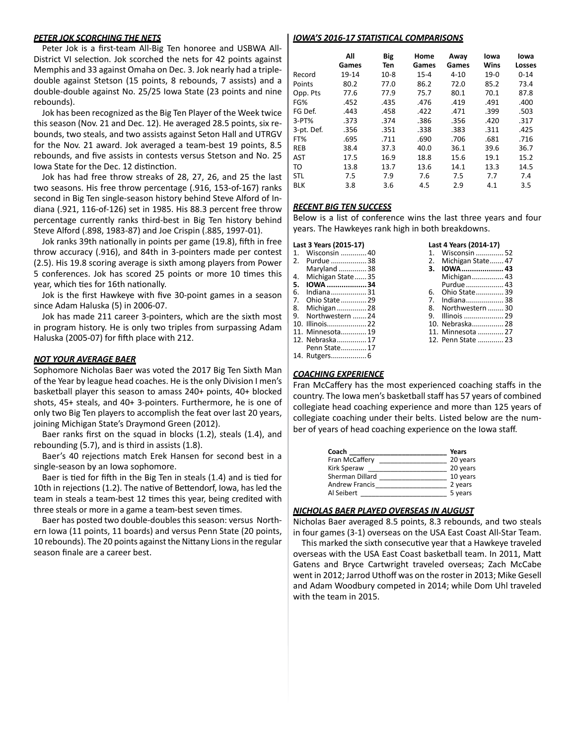#### *PETER JOK SCORCHING THE NETS*

Peter Jok is a first-team All-Big Ten honoree and USBWA All-District VI selection. Jok scorched the nets for 42 points against Memphis and 33 against Omaha on Dec. 3. Jok nearly had a tripledouble against Stetson (15 points, 8 rebounds, 7 assists) and a double-double against No. 25/25 Iowa State (23 points and nine rebounds).

Jok has been recognized as the Big Ten Player of the Week twice this season (Nov. 21 and Dec. 12). He averaged 28.5 points, six rebounds, two steals, and two assists against Seton Hall and UTRGV for the Nov. 21 award. Jok averaged a team-best 19 points, 8.5 rebounds, and five assists in contests versus Stetson and No. 25 Iowa State for the Dec. 12 distinction.

Jok has had free throw streaks of 28, 27, 26, and 25 the last two seasons. His free throw percentage (.916, 153-of-167) ranks second in Big Ten single-season history behind Steve Alford of Indiana (.921, 116-of-126) set in 1985. His 88.3 percent free throw percentage currently ranks third-best in Big Ten history behind Steve Alford (.898, 1983-87) and Joe Crispin (.885, 1997-01).

Jok ranks 39th nationally in points per game (19.8), fifth in free throw accuracy (.916), and 84th in 3-pointers made per contest (2.5). His 19.8 scoring average is sixth among players from Power 5 conferences. Jok has scored 25 points or more 10 times this year, which ties for 16th nationally.

Jok is the first Hawkeye with five 30-point games in a season since Adam Haluska (5) in 2006-07.

Jok has made 211 career 3-pointers, which are the sixth most in program history. He is only two triples from surpassing Adam Haluska (2005-07) for fifth place with 212.

#### *NOT YOUR AVERAGE BAER*

Sophomore Nicholas Baer was voted the 2017 Big Ten Sixth Man of the Year by league head coaches. He is the only Division I men's basketball player this season to amass 240+ points, 40+ blocked shots, 45+ steals, and 40+ 3-pointers. Furthermore, he is one of only two Big Ten players to accomplish the feat over last 20 years, joining Michigan State's Draymond Green (2012).

Baer ranks first on the squad in blocks (1.2), steals (1.4), and rebounding (5.7), and is third in assists (1.8).

Baer's 40 rejections match Erek Hansen for second best in a single-season by an Iowa sophomore.

Baer is tied for fifth in the Big Ten in steals (1.4) and is tied for 10th in rejections (1.2). The native of Bettendorf, Iowa, has led the team in steals a team-best 12 times this year, being credited with three steals or more in a game a team-best seven times.

Baer has posted two double-doubles this season: versus Northern Iowa (11 points, 11 boards) and versus Penn State (20 points, 10 rebounds). The 20 points against the Nittany Lions in the regular season finale are a career best.

#### *IOWA'S 2016-17 STATISTICAL COMPARISONS*

|            | All<br>Games | <b>Big</b><br>Ten | Home<br>Games | Away<br>Games | lowa<br>Wins | lowa<br>Losses |
|------------|--------------|-------------------|---------------|---------------|--------------|----------------|
| Record     | 19-14        | $10-8$            | $15 - 4$      | $4 - 10$      | $19-0$       | $0 - 14$       |
| Points     | 80.2         | 77.0              | 86.2          | 72.0          | 85.2         | 73.4           |
| Opp. Pts   | 77.6         | 77.9              | 75.7          | 80.1          | 70.1         | 87.8           |
| FG%        | .452         | .435              | .476          | .419          | .491         | .400           |
| FG Def.    | .443         | .458              | .422          | .471          | .399         | .503           |
| $3-PT%$    | .373         | .374              | .386          | .356          | .420         | .317           |
| 3-pt. Def. | .356         | .351              | .338          | .383          | .311         | .425           |
| FT%        | .695         | .711              | .690          | .706          | .681         | .716           |
| <b>REB</b> | 38.4         | 37.3              | 40.0          | 36.1          | 39.6         | 36.7           |
| <b>AST</b> | 17.5         | 16.9              | 18.8          | 15.6          | 19.1         | 15.2           |
| TO         | 13.8         | 13.7              | 13.6          | 14.1          | 13.3         | 14.5           |
| <b>STL</b> | 7.5          | 7.9               | 7.6           | 7.5           | 7.7          | 7.4            |
| <b>BLK</b> | 3.8          | 3.6               | 4.5           | 2.9           | 4.1          | 3.5            |

#### *RECENT BIG TEN SUCCESS*

Below is a list of conference wins the last three years and four years. The Hawkeyes rank high in both breakdowns.

| Last 3 Years (2015-17) | Last 4 Years (2014-17) |  |
|------------------------|------------------------|--|
| 1. Wisconsin 40        | 1. Wisconsin  52       |  |
| 2. Purdue 38           | 2. Michigan State47    |  |
| Maryland 38            | 3. IOWA 43             |  |
| 4. Michigan State35    | Michigan 43            |  |
| 5. IOWA 34             | Purdue  43             |  |
| 6. Indiana31           | 6. Ohio State39        |  |
| 7. Ohio State  29      | 7. Indiana38           |  |
| 8. Michigan  28        | 8. Northwestern  30    |  |
| 9. Northwestern 24     |                        |  |
| 10. Illinois22         | 10. Nebraska 28        |  |
| 11. Minnesota 19       | 11. Minnesota  27      |  |
| 12. Nebraska 17        | 12. Penn State  23     |  |
| .                      |                        |  |

|    | Last 4 Years (2014-17) |  |  |  |
|----|------------------------|--|--|--|
| 1. | Wisconsin  52          |  |  |  |
|    | 2. Michigan State 47   |  |  |  |
|    | 3. IOWA  43            |  |  |  |
|    | Michigan 43            |  |  |  |
|    | Purdue  43             |  |  |  |
| 6. | Ohio State 39          |  |  |  |
|    | 7. Indiana38           |  |  |  |
|    | 8. Northwestern  30    |  |  |  |
|    | 9. Illinois  29        |  |  |  |
|    | 10. Nebraska 28        |  |  |  |
|    | 11. Minnesota  27      |  |  |  |
|    | 12. Penn State  23     |  |  |  |
|    |                        |  |  |  |

Penn State.............17 14. Rutgers..................6

#### *COACHING EXPERIENCE*

Fran McCaffery has the most experienced coaching staffs in the country. The Iowa men's basketball staff has 57 years of combined collegiate head coaching experience and more than 125 years of collegiate coaching under their belts. Listed below are the number of years of head coaching experience on the Iowa staff.

| Coach                 | Years    |
|-----------------------|----------|
| Fran McCaffery        | 20 years |
| <b>Kirk Speraw</b>    | 20 years |
| Sherman Dillard       | 10 years |
| <b>Andrew Francis</b> | 2 years  |
| Al Seibert            | 5 years  |

#### *NICHOLAS BAER PLAYED OVERSEAS IN AUGUST*

Nicholas Baer averaged 8.5 points, 8.3 rebounds, and two steals in four games (3-1) overseas on the USA East Coast All-Star Team.

This marked the sixth consecutive year that a Hawkeye traveled overseas with the USA East Coast basketball team. In 2011, Matt Gatens and Bryce Cartwright traveled overseas; Zach McCabe went in 2012; Jarrod Uthoff was on the roster in 2013; Mike Gesell and Adam Woodbury competed in 2014; while Dom Uhl traveled with the team in 2015.